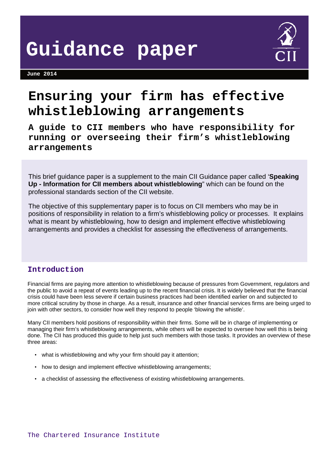**June 2014** 



# **Ensuring your firm has effective whistleblowing arrangements**

**A guide to CII members who have responsibility for running or overseeing their firm's whistleblowing arrangements** 

This brief guidance paper is a supplement to the main CII Guidance paper called '**Speaking Up - Information for CII members about whistleblowing**" which can be found on the professional standards section of the CII website.

The objective of this supplementary paper is to focus on CII members who may be in positions of responsibility in relation to a firm's whistleblowing policy or processes. It explains what is meant by whistleblowing, how to design and implement effective whistleblowing arrangements and provides a checklist for assessing the effectiveness of arrangements.

## **Introduction**

Financial firms are paying more attention to whistleblowing because of pressures from Government, regulators and the public to avoid a repeat of events leading up to the recent financial crisis. It is widely believed that the financial crisis could have been less severe if certain business practices had been identified earlier on and subjected to more critical scrutiny by those in charge. As a result, insurance and other financial services firms are being urged to join with other sectors, to consider how well they respond to people 'blowing the whistle'.

Many CII members hold positions of responsibility within their firms. Some will be in charge of implementing or managing their firm's whistleblowing arrangements, while others will be expected to oversee how well this is being done. The CII has produced this guide to help just such members with those tasks. It provides an overview of these three areas:

- what is whistleblowing and why your firm should pay it attention;
- how to design and implement effective whistleblowing arrangements;
- a checklist of assessing the effectiveness of existing whistleblowing arrangements.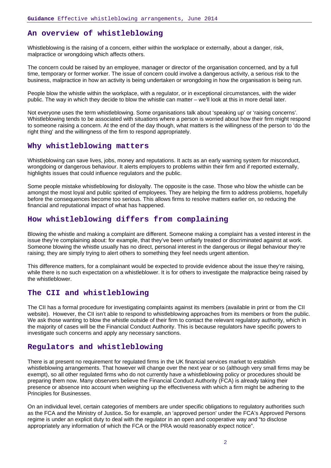## **An overview of whistleblowing**

Whistleblowing is the raising of a concern, either within the workplace or externally, about a danger, risk, malpractice or wrongdoing which affects others.

The concern could be raised by an employee, manager or director of the organisation concerned, and by a full time, temporary or former worker. The issue of concern could involve a dangerous activity, a serious risk to the business, malpractice in how an activity is being undertaken or wrongdoing in how the organisation is being run.

People blow the whistle within the workplace, with a regulator, or in exceptional circumstances, with the wider public. The way in which they decide to blow the whistle can matter – we'll look at this in more detail later.

Not everyone uses the term whistleblowing. Some organisations talk about 'speaking up' or 'raising concerns'. Whistleblowing tends to be associated with situations where a person is worried about how their firm might respond to someone raising a concern. At the end of the day though, what matters is the willingness of the person to 'do the right thing' and the willingness of the firm to respond appropriately.

### **Why whistleblowing matters**

Whistleblowing can save lives, jobs, money and reputations. It acts as an early warning system for misconduct, wrongdoing or dangerous behaviour. It alerts employers to problems within their firm and if reported externally, highlights issues that could influence regulators and the public.

Some people mistake whistleblowing for disloyalty. The opposite is the case. Those who blow the whistle can be amongst the most loyal and public spirited of employees. They are helping the firm to address problems, hopefully before the consequences become too serious. This allows firms to resolve matters earlier on, so reducing the financial and reputational impact of what has happened.

## **How whistleblowing differs from complaining**

Blowing the whistle and making a complaint are different. Someone making a complaint has a vested interest in the issue they're complaining about: for example, that they've been unfairly treated or discriminated against at work. Someone blowing the whistle usually has no direct, personal interest in the dangerous or illegal behaviour they're raising; they are simply trying to alert others to something they feel needs urgent attention.

This difference matters, for a complainant would be expected to provide evidence about the issue they're raising, while there is no such expectation on a whistleblower. It is for others to investigate the malpractice being raised by the whistleblower.

## **The CII and whistleblowing**

The CII has a formal procedure for investigating complaints against its members (available in print or from the CII website). However, the CII isn't able to respond to whistleblowing approaches from its members or from the public. We ask those wanting to blow the whistle outside of their firm to contact the relevant regulatory authority, which in the majority of cases will be the Financial Conduct Authority. This is because regulators have specific powers to investigate such concerns and apply any necessary sanctions.

## **Regulators and whistleblowing**

There is at present no requirement for regulated firms in the UK financial services market to establish whistleblowing arrangements. That however will change over the next year or so (although very small firms may be exempt), so all other regulated firms who do not currently have a whistleblowing policy or procedures should be preparing them now. Many observers believe the Financial Conduct Authority (FCA) is already taking their presence or absence into account when weighing up the effectiveness with which a firm might be adhering to the Principles for Businesses.

On an individual level, certain categories of members are under specific obligations to regulatory authorities such as the FCA and the Ministry of Justice**.** So for example, an 'approved person' under the FCA's Approved Persons regime is under an explicit duty to deal with the regulator in an open and cooperative way and "to disclose appropriately any information of which the FCA or the PRA would reasonably expect notice".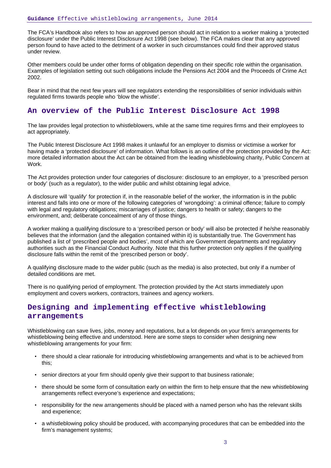The FCA's Handbook also refers to how an approved person should act in relation to a worker making a 'protected disclosure' under the Public Interest Disclosure Act 1998 (see below). The FCA makes clear that any approved person found to have acted to the detriment of a worker in such circumstances could find their approved status under review.

Other members could be under other forms of obligation depending on their specific role within the organisation. Examples of legislation setting out such obligations include the Pensions Act 2004 and the Proceeds of Crime Act 2002.

Bear in mind that the next few years will see regulators extending the responsibilities of senior individuals within regulated firms towards people who 'blow the whistle'.

## **An overview of the Public Interest Disclosure Act 1998**

The law provides legal protection to whistleblowers, while at the same time requires firms and their employees to act appropriately.

The Public Interest Disclosure Act 1998 makes it unlawful for an employer to dismiss or victimise a worker for having made a 'protected disclosure' of information. What follows is an outline of the protection provided by the Act: more detailed information about the Act can be obtained from the leading whistleblowing charity, Public Concern at Work.

The Act provides protection under four categories of disclosure: disclosure to an employer, to a 'prescribed person or body' (such as a regulator), to the wider public and whilst obtaining legal advice.

A disclosure will 'qualify' for protection if, in the reasonable belief of the worker, the information is in the public interest and falls into one or more of the following categories of 'wrongdoing': a criminal offence; failure to comply with legal and regulatory obligations; miscarriages of justice; dangers to health or safety; dangers to the environment, and; deliberate concealment of any of those things.

A worker making a qualifying disclosure to a 'prescribed person or body' will also be protected if he/she reasonably believes that the information (and the allegation contained within it) is substantially true. The Government has published a list of 'prescribed people and bodies', most of which are Government departments and regulatory authorities such as the Financial Conduct Authority. Note that this further protection only applies if the qualifying disclosure falls within the remit of the 'prescribed person or body'.

A qualifying disclosure made to the wider public (such as the media) is also protected, but only if a number of detailed conditions are met.

There is no qualifying period of employment. The protection provided by the Act starts immediately upon employment and covers workers, contractors, trainees and agency workers.

## **Designing and implementing effective whistleblowing arrangements**

Whistleblowing can save lives, jobs, money and reputations, but a lot depends on your firm's arrangements for whistleblowing being effective and understood. Here are some steps to consider when designing new whistleblowing arrangements for your firm:

- there should a clear rationale for introducing whistleblowing arrangements and what is to be achieved from this;
- senior directors at your firm should openly give their support to that business rationale;
- there should be some form of consultation early on within the firm to help ensure that the new whistleblowing arrangements reflect everyone's experience and expectations;
- responsibility for the new arrangements should be placed with a named person who has the relevant skills and experience;
- a whistleblowing policy should be produced, with accompanying procedures that can be embedded into the firm's management systems;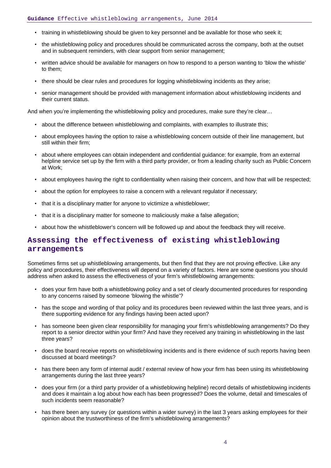- training in whistleblowing should be given to key personnel and be available for those who seek it;
- the whistleblowing policy and procedures should be communicated across the company, both at the outset and in subsequent reminders, with clear support from senior management;
- written advice should be available for managers on how to respond to a person wanting to 'blow the whistle' to them;
- there should be clear rules and procedures for logging whistleblowing incidents as they arise;
- senior management should be provided with management information about whistleblowing incidents and their current status.

And when you're implementing the whistleblowing policy and procedures, make sure they're clear...

- about the difference between whistleblowing and complaints, with examples to illustrate this;
- about employees having the option to raise a whistleblowing concern outside of their line management, but still within their firm;
- about where employees can obtain independent and confidential guidance: for example, from an external helpline service set up by the firm with a third party provider, or from a leading charity such as Public Concern at Work;
- about employees having the right to confidentiality when raising their concern, and how that will be respected;
- about the option for employees to raise a concern with a relevant regulator if necessary;
- that it is a disciplinary matter for anyone to victimize a whistleblower;
- that it is a disciplinary matter for someone to maliciously make a false allegation;
- about how the whistleblower's concern will be followed up and about the feedback they will receive.

## **Assessing the effectiveness of existing whistleblowing arrangements**

Sometimes firms set up whistleblowing arrangements, but then find that they are not proving effective. Like any policy and procedures, their effectiveness will depend on a variety of factors. Here are some questions you should address when asked to assess the effectiveness of your firm's whistleblowing arrangements:

- does your firm have both a whistleblowing policy and a set of clearly documented procedures for responding to any concerns raised by someone 'blowing the whistle'?
- has the scope and wording of that policy and its procedures been reviewed within the last three years, and is there supporting evidence for any findings having been acted upon?
- has someone been given clear responsibility for managing your firm's whistleblowing arrangements? Do they report to a senior director within your firm? And have they received any training in whistleblowing in the last three years?
- does the board receive reports on whistleblowing incidents and is there evidence of such reports having been discussed at board meetings?
- has there been any form of internal audit / external review of how your firm has been using its whistleblowing arrangements during the last three years?
- does your firm (or a third party provider of a whistleblowing helpline) record details of whistleblowing incidents and does it maintain a log about how each has been progressed? Does the volume, detail and timescales of such incidents seem reasonable?
- has there been any survey (or questions within a wider survey) in the last 3 years asking employees for their opinion about the trustworthiness of the firm's whistleblowing arrangements?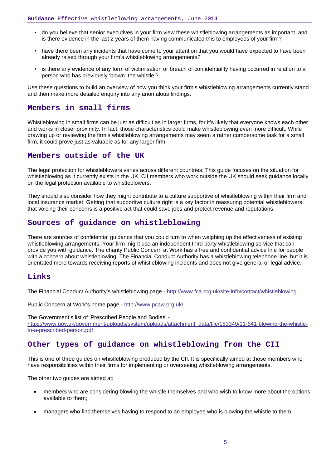- do you believe that senior executives in your firm view these whistleblowing arrangements as important, and is there evidence in the last 2 years of them having communicated this to employees of your firm?
- have there been any incidents that have come to your attention that you would have expected to have been already raised through your firm's whistleblowing arrangements?
- is there any evidence of any form of victimisation or breach of confidentiality having occurred in relation to a person who has previously 'blown the whistle'?

Use these questions to build an overview of how you think your firm's whistleblowing arrangements currently stand and then make more detailed enquiry into any anomalous findings.

#### **Members in small firms**

Whistleblowing in small firms can be just as difficult as in larger firms, for it's likely that everyone knows each other and works in closer proximity. In fact, those characteristics could make whistleblowing even more difficult. While drawing up or reviewing the firm's whistleblowing arrangements may seem a rather cumbersome task for a small firm, it could prove just as valuable as for any larger firm.

## **Members outside of the UK**

The legal protection for whistleblowers varies across different countries. This guide focuses on the situation for whistleblowing as it currently exists in the UK. CII members who work outside the UK should seek guidance locally on the legal protection available to whistleblowers.

They should also consider how they might contribute to a culture supportive of whistleblowing within their firm and local insurance market. Getting that supportive culture right is a key factor in reassuring potential whistleblowers that voicing their concerns is a positive act that could save jobs and protect revenue and reputations.

## **Sources of guidance on whistleblowing**

There are sources of confidential guidance that you could turn to when weighing up the effectiveness of existing whistleblowing arrangements. Your firm might use an independent third party whistleblowing service that can provide you with guidance. The charity Public Concern at Work has a free and confidential advice line for people with a concern about whistleblowing. The Financial Conduct Authority has a whistleblowing telephone line, but it is orientated more towards receiving reports of whistleblowing incidents and does not give general or legal advice.

## **Links**

The Financial Conduct Authority's whistleblowing page -<http://www.fca.org.uk/site-info/contact/whistleblowing>

Public Concern at Work's home page - <http://www.pcaw.org.uk/>

The Government's list of 'Prescribed People and Bodies' [https://www.gov.uk/government/uploads/system/uploads/attachment\\_data/file/183340/11-641-blowing-the-whistle](https://www.gov.uk/government/uploads/system/uploads/attachment_data/file/183340/11-641-blowing-the-whistle-to-a-prescribed-person.pdf)[to-a-prescribed-person.pdf](https://www.gov.uk/government/uploads/system/uploads/attachment_data/file/183340/11-641-blowing-the-whistle-to-a-prescribed-person.pdf)

## **Other types of guidance on whistleblowing from the CII**

This is one of three guides on whistleblowing produced by the CII. It is specifically aimed at those members who have responsibilities within their firms for implementing or overseeing whistleblowing arrangements.

The other two guides are aimed at:

- members who are considering blowing the whistle themselves and who wish to know more about the options available to them;
- managers who find themselves having to respond to an employee who is blowing the whistle to them.